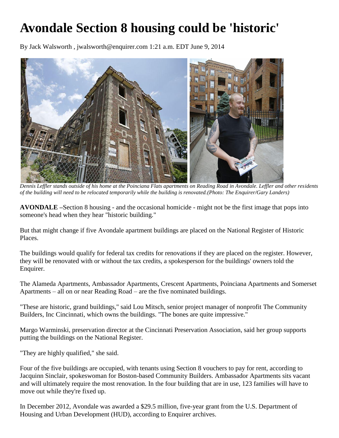# **Avondale Section 8 housing could be 'historic'**

By Jack Walsworth , jwalsworth@enquirer.com 1:21 a.m. EDT June 9, 2014



*Dennis Leffler stands outside of his home at the Poinciana Flats apartments on Reading Road in Avondale. Leffler and other residents of the building will need to be relocated temporarily while the building is renovated.(Photo: The Enquirer/Gary Landers)*

**AVONDALE –**Section 8 housing - and the occasional homicide - might not be the first image that pops into someone's head when they hear "historic building."

But that might change if five Avondale apartment buildings are placed on the National Register of Historic Places.

The buildings would qualify for federal tax credits for renovations if they are placed on the register. However, they will be renovated with or without the tax credits, a spokesperson for the buildings' owners told the Enquirer.

The Alameda Apartments, Ambassador Apartments, Crescent Apartments, Poinciana Apartments and Somerset Apartments – all on or near Reading Road – are the five nominated buildings.

"These are historic, grand buildings," said Lou Mitsch, senior project manager of nonprofit The Community Builders, Inc Cincinnati, which owns the buildings. "The bones are quite impressive."

Margo Warminski, preservation director at the Cincinnati Preservation Association, said her group supports putting the buildings on the National Register.

"They are highly qualified," she said.

Four of the five buildings are occupied, with tenants using Section 8 vouchers to pay for rent, according to Jacquinn Sinclair, spokeswoman for Boston-based Community Builders. Ambassador Apartments sits vacant and will ultimately require the most renovation. In the four building that are in use, 123 families will have to move out while they're fixed up.

In December 2012, Avondale was awarded a \$29.5 million, five-year grant from the U.S. Department of Housing and Urban Development (HUD), according to Enquirer archives.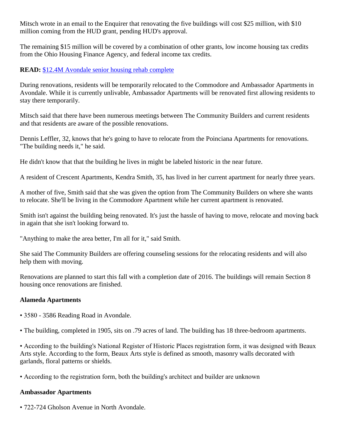Mitsch wrote in an email to the Enquirer that renovating the five buildings will cost \$25 million, with \$10 million coming from the HUD grant, pending HUD's approval.

The remaining \$15 million will be covered by a combination of other grants, low income housing tax credits from the Ohio Housing Finance Agency, and federal income tax credits.

# **READ:** [\\$12.4M Avondale senior housing rehab complete](http://www.cincinnati.com/story/money/2014/05/23/m-avondale-senior-housing-rehab-complete/9526397/)

During renovations, residents will be temporarily relocated to the Commodore and Ambassador Apartments in Avondale. While it is currently unlivable, Ambassador Apartments will be renovated first allowing residents to stay there temporarily.

Mitsch said that there have been numerous meetings between The Community Builders and current residents and that residents are aware of the possible renovations.

Dennis Leffler, 32, knows that he's going to have to relocate from the Poinciana Apartments for renovations. "The building needs it," he said.

He didn't know that that the building he lives in might be labeled historic in the near future.

A resident of Crescent Apartments, Kendra Smith, 35, has lived in her current apartment for nearly three years.

A mother of five, Smith said that she was given the option from The Community Builders on where she wants to relocate. She'll be living in the Commodore Apartment while her current apartment is renovated.

Smith isn't against the building being renovated. It's just the hassle of having to move, relocate and moving back in again that she isn't looking forward to.

"Anything to make the area better, I'm all for it," said Smith.

She said The Community Builders are offering counseling sessions for the relocating residents and will also help them with moving.

Renovations are planned to start this fall with a completion date of 2016. The buildings will remain Section 8 housing once renovations are finished.

# **Alameda Apartments**

• 3580 - 3586 Reading Road in Avondale.

• The building, completed in 1905, sits on .79 acres of land. The building has 18 three-bedroom apartments.

• According to the building's National Register of Historic Places registration form, it was designed with Beaux Arts style. According to the form, Beaux Arts style is defined as smooth, masonry walls decorated with garlands, floral patterns or shields.

• According to the registration form, both the building's architect and builder are unknown

# **Ambassador Apartments**

• 722-724 Gholson Avenue in North Avondale.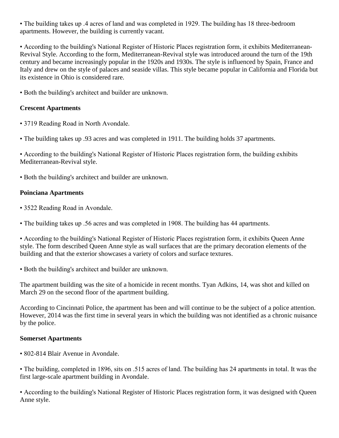• The building takes up .4 acres of land and was completed in 1929. The building has 18 three-bedroom apartments. However, the building is currently vacant.

• According to the building's National Register of Historic Places registration form, it exhibits Mediterranean-Revival Style. According to the form, Mediterranean-Revival style was introduced around the turn of the 19th century and became increasingly popular in the 1920s and 1930s. The style is influenced by Spain, France and Italy and drew on the style of palaces and seaside villas. This style became popular in California and Florida but its existence in Ohio is considered rare.

• Both the building's architect and builder are unknown.

# **Crescent Apartments**

- 3719 Reading Road in North Avondale.
- The building takes up .93 acres and was completed in 1911. The building holds 37 apartments.

• According to the building's National Register of Historic Places registration form, the building exhibits Mediterranean-Revival style.

• Both the building's architect and builder are unknown.

# **Poinciana Apartments**

- 3522 Reading Road in Avondale.
- The building takes up .56 acres and was completed in 1908. The building has 44 apartments.

• According to the building's National Register of Historic Places registration form, it exhibits Queen Anne style. The form described Queen Anne style as wall surfaces that are the primary decoration elements of the building and that the exterior showcases a variety of colors and surface textures.

• Both the building's architect and builder are unknown.

The apartment building was the site of a homicide in recent months. Tyan Adkins, 14, was shot and killed on March 29 on the second floor of the apartment building.

According to Cincinnati Police, the apartment has been and will continue to be the subject of a police attention. However, 2014 was the first time in several years in which the building was not identified as a chronic nuisance by the police.

# **Somerset Apartments**

• 802-814 Blair Avenue in Avondale.

• The building, completed in 1896, sits on .515 acres of land. The building has 24 apartments in total. It was the first large-scale apartment building in Avondale.

• According to the building's National Register of Historic Places registration form, it was designed with Queen Anne style.